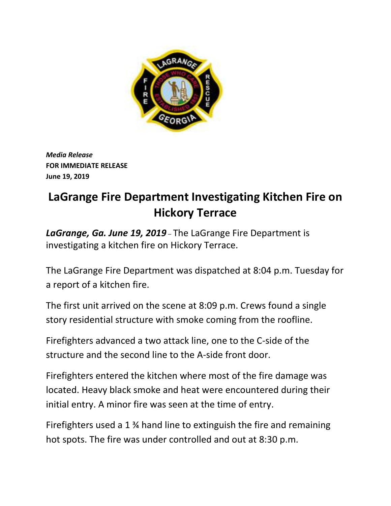

*Media Release* **FOR IMMEDIATE RELEASE June 19, 2019**

## **LaGrange Fire Department Investigating Kitchen Fire on Hickory Terrace**

*LaGrange, Ga. June 19, 2019* – The LaGrange Fire Department is investigating a kitchen fire on Hickory Terrace.

The LaGrange Fire Department was dispatched at 8:04 p.m. Tuesday for a report of a kitchen fire.

The first unit arrived on the scene at 8:09 p.m. Crews found a single story residential structure with smoke coming from the roofline.

Firefighters advanced a two attack line, one to the C-side of the structure and the second line to the A-side front door.

Firefighters entered the kitchen where most of the fire damage was located. Heavy black smoke and heat were encountered during their initial entry. A minor fire was seen at the time of entry.

Firefighters used a 1 ¾ hand line to extinguish the fire and remaining hot spots. The fire was under controlled and out at 8:30 p.m.